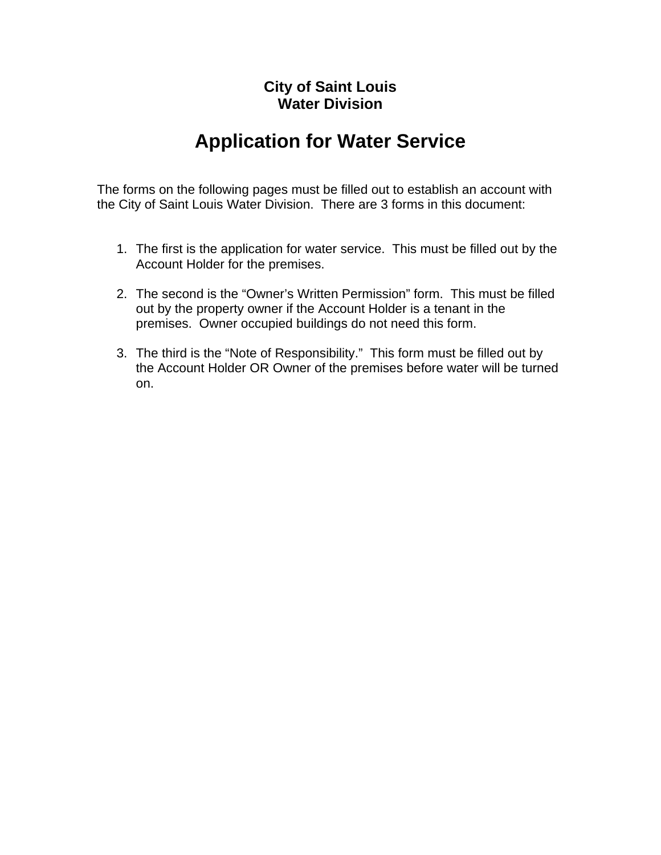## **City of Saint Louis Water Division**

# **Application for Water Service**

The forms on the following pages must be filled out to establish an account with the City of Saint Louis Water Division. There are 3 forms in this document:

- 1. The first is the application for water service. This must be filled out by the Account Holder for the premises.
- 2. The second is the "Owner's Written Permission" form. This must be filled out by the property owner if the Account Holder is a tenant in the premises. Owner occupied buildings do not need this form.
- 3. The third is the "Note of Responsibility." This form must be filled out by the Account Holder OR Owner of the premises before water will be turned on.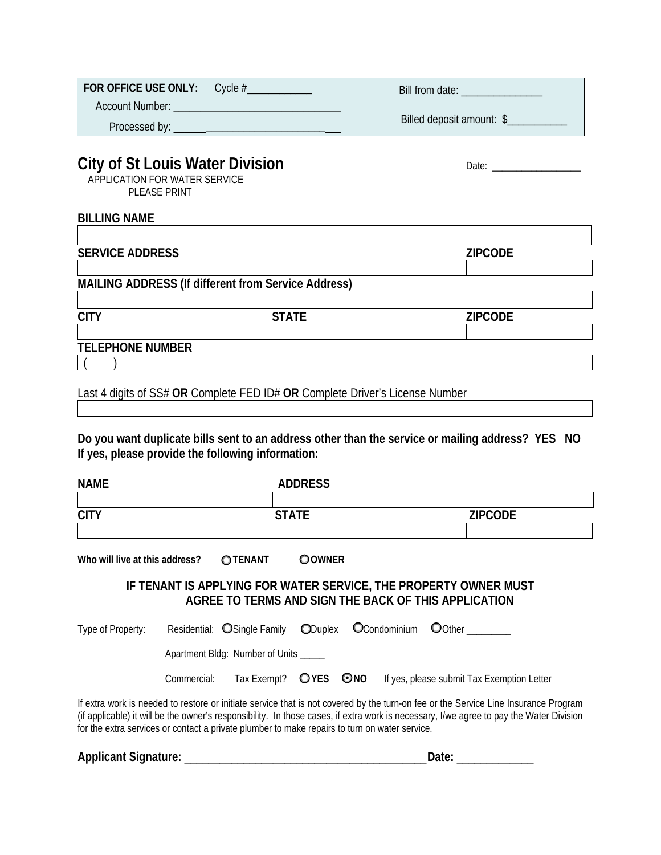| <b>FOR OFFICE USE ONLY:</b> Cycle # | Bill from date:           |
|-------------------------------------|---------------------------|
| Account Number:                     |                           |
| Processed by:                       | Billed deposit amount: \$ |
|                                     |                           |

Date: \_\_\_\_\_\_\_\_\_\_\_\_\_\_\_\_\_\_

## **City of St Louis Water Division**

APPLICATION FOR WATER SERVICE PLEASE PRINT

#### **BILLING NAME**

**SERVICE ADDRESS** *ZIPCODE* **MAILING ADDRESS (If different from Service Address) CITY STATE ZIPCODE TELEPHONE NUMBER**   $($  )

Last 4 digits of SS# **OR** Complete FED ID# **OR** Complete Driver's License Number

**Do you want duplicate bills sent to an address other than the service or mailing address? YES NO If yes, please provide the following information:** 

| <b>NAME</b> | <b>ADDRESS</b> |                |
|-------------|----------------|----------------|
|             |                |                |
| <b>CITY</b> | <b>STATE</b>   | <b>ZIPCODE</b> |
|             |                |                |
|             |                |                |

Who will live at this address? **OTENANT OOWNER** 

#### **IF TENANT IS APPLYING FOR WATER SERVICE, THE PROPERTY OWNER MUST AGREE TO TERMS AND SIGN THE BACK OF THIS APPLICATION**

| Type of Property: |             | Residential: OSingle Family ODuplex OCondominium OOther |  |                                                                 |  |
|-------------------|-------------|---------------------------------------------------------|--|-----------------------------------------------------------------|--|
|                   |             | Apartment Bldg: Number of Units _____                   |  |                                                                 |  |
|                   | Commercial: |                                                         |  | Tax Exempt? OYES ONO If yes, please submit Tax Exemption Letter |  |

If extra work is needed to restore or initiate service that is not covered by the turn-on fee or the Service Line Insurance Program (if applicable) it will be the owner's responsibility. In those cases, if extra work is necessary, I/we agree to pay the Water Division for the extra services or contact a private plumber to make repairs to turn on water service.

Applicant Signature: **Applicant Signature: Applicant Signature: Date: Date: Date: CO**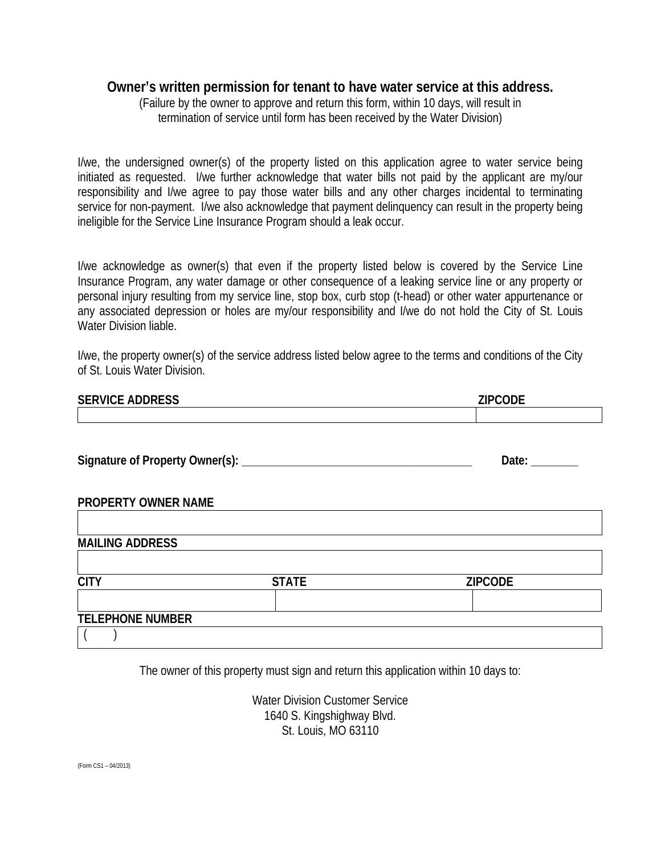### **Owner's written permission for tenant to have water service at this address.**

(Failure by the owner to approve and return this form, within 10 days, will result in termination of service until form has been received by the Water Division)

I/we, the undersigned owner(s) of the property listed on this application agree to water service being initiated as requested. I/we further acknowledge that water bills not paid by the applicant are my/our responsibility and I/we agree to pay those water bills and any other charges incidental to terminating service for non-payment. I/we also acknowledge that payment delinquency can result in the property being ineligible for the Service Line Insurance Program should a leak occur.

I/we acknowledge as owner(s) that even if the property listed below is covered by the Service Line Insurance Program, any water damage or other consequence of a leaking service line or any property or personal injury resulting from my service line, stop box, curb stop (t-head) or other water appurtenance or any associated depression or holes are my/our responsibility and I/we do not hold the City of St. Louis Water Division liable.

I/we, the property owner(s) of the service address listed below agree to the terms and conditions of the City of St. Louis Water Division.

| <b>SERVICE ADDRESS</b>  |              | <b>ZIPCODE</b>      |
|-------------------------|--------------|---------------------|
|                         |              |                     |
|                         |              |                     |
|                         |              | Date: $\frac{1}{2}$ |
|                         |              |                     |
| PROPERTY OWNER NAME     |              |                     |
|                         |              |                     |
| <b>MAILING ADDRESS</b>  |              |                     |
|                         |              |                     |
| <b>CITY</b>             | <b>STATE</b> | <b>ZIPCODE</b>      |
|                         |              |                     |
| <b>TELEPHONE NUMBER</b> |              |                     |
|                         |              |                     |

The owner of this property must sign and return this application within 10 days to:

Water Division Customer Service 1640 S. Kingshighway Blvd. St. Louis, MO 63110